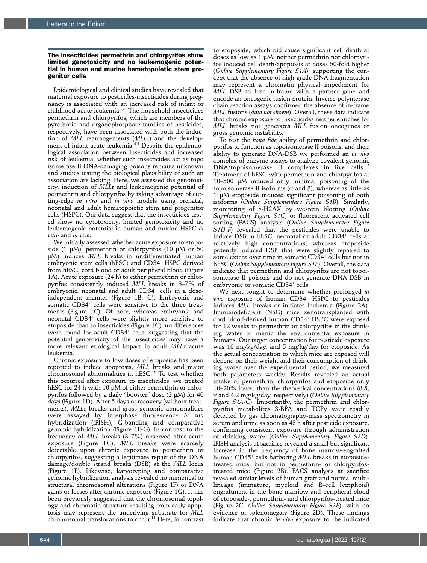## The insecticides permethrin and chlorpyrifos show limited genotoxicity and no leukemogenic potential in human and murine hematopoietic stem progenitor cells

Epidemiological and clinical studies have revealed that maternal exposure to pesticides-insecticides during pregnancy is associated with an increased risk of infant or childhood acute leukemia.<sup>1-3</sup> The household insecticides permethrin and chlorpyrifos, which are members of the pyrethroid and organophosphate families of pesticides, respectively, have been associated with both the induction of *MLL* rearrangements (*MLL*r) and the development of infant acute leukemia.<sup>4-9</sup> Despite the epidemiological association between insecticides and increased risk of leukemia, whether such insecticides act as topo isomerase II DNA-damaging poisons remains unknown and studies testing the biological plausibility of such an association are lacking. Here, we assessed the genotoxicity, induction of *MLL*r and leukemogenic potential of permethrin and chlorpyrifos by taking advantage of cutting-edge *in vitro* and *in vivo* models using prenatal, neonatal and adult hematopoietic stem and progenitor cells (HSPC). Our data suggest that the insecticides tested show no cytotoxicity, limited genotoxicity and no leukemogenic potential in human and murine HSPC *in vitro* and *in vivo*.

We initially assessed whether acute exposure to etoposide (1  $\mu$ M), permethrin or chlorpyrifos (10  $\mu$ M or 50 µM) induces *MLL* breaks in undifferentiated human embryonic stem cells (hESC) and CD34<sup>+</sup> HSPC derived from hESC, cord blood or adult peripheral blood (Figure 1A). Acute exposure (24 h) to either permethrin or chlorpyrifos consistently induced *MLL* breaks in 3–7% of embryonic, neonatal and adult CD34+ cells in a doseindependent manner (Figure 1B, C). Embryonic and somatic CD34+ cells were sensitive to the three treatments (Figure 1C). Of note, whereas embryonic and neonatal CD34<sup>+</sup> cells were slightly more sensitive to etoposide than to insecticides (Figure 1C), no differences were found for adult CD34+ cells, suggesting that the potential genotoxicity of the insecticides may have a more relevant etiological impact in adult *MLL*r acute leukemia.

Chronic exposure to low doses of etoposide has been reported to induce apoptosis, *MLL* breaks and major chromosomal abnormalities in hESC.10 To test whether this occurred after exposure to insecticides, we treated hESC for 24 h with  $10 \mu M$  of either permethrin or chlorpyrifos followed by a daily "booster" dose  $(2 \mu M)$  for 40 days (Figure 1D). After 5 days of recovery (without treatments), *MLL*r breaks and gross genomic abnormalities were assayed by interphase fluorescence *in situ*  hybridization (iFISH), G-banding and comparative genomic hybridization (Figure 1E-G). In contrast to the frequency of *MLL* breaks (3–7%) observed after acute exposure (Figure 1C), *MLL* breaks were scarcely detectable upon chronic exposure to permethrin or chlorpyrifos, suggesting a legitimate repair of the DNA damage/double strand breaks (DSB) at the *MLL* locus (Figure 1E). Likewise, karyotyping and comparative genomic hybridization analysis revealed no numerical or structural chromosomal alterations (Figure 1F) or DNA gains or losses after chronic exposure (Figure 1G). It has been previously suggested that the chromosomal topology and chromatin structure resulting from early apoptosis may represent the underlying substrate for *MLL* chromosomal translocations to occur.<sup>11</sup> Here, in contrast

to etoposide, which did cause significant cell death at doses as low as 1 µM, neither permethrin nor chlorpyrifos induced cell death/apoptosis at doses 50-fold higher (*Online Supplementary Figure S1A*), supporting the concept that the absence of high-grade DNA fragmentation may represent a chromatin physical impediment for *MLL* DSB to fuse in-frame with a partner gene and encode an oncogenic fusion protein. Inverse polymerase chain reaction assays confirmed the absence of in-frame *MLL* fusions (*data not shown*). Overall, these data indicate that chronic exposure to insecticides neither enriches for *MLL* breaks nor generates *MLL* fusion oncogenes or gross genomic instability.

To test the *bona fide* ability of permethrin and chlorpyrifos to function as topoisomerase II poisons, and their ability to generate DNA-DSB we performed an *in vivo* complex of enzyme assays to analyze covalent genomic DNA/topoisomerase II complexes in live cells.<sup>12</sup> Treatment of hESC with permethrin and chlorpyrifos at 10–500 µM induced only minimal poisoning of the topoisomerase II isoforms ( $\alpha$  and  $\beta$ ), whereas as little as 1 µM etoposide induced significant poisoning of both isoforms (*Online Supplementary Figure S1B*). Similarly, monitoring of g-H2AX by western blotting (*Online Supplementary Figure S1C*) or fluorescent activated cell sorting (FACS) analysis (*Online Supplementary Figure S1D-F*) revealed that the pesticides were unable to induce DSB in hESC, neonatal or adult CD34<sup>+</sup> cells at relatively high concentrations, whereas etoposide potently induced DSB that were slightly repaired to some extent over time in somatic CD34<sup>+</sup> cells but not in hESC (*Online Supplementary Figure S1F*). Overall, the data indicate that permethrin and chlorpyrifos are not topoisomerase II poisons and do not generate DNA-DSB in embryonic or somatic CD34<sup>+</sup> cells.

We next sought to determine whether prolonged *in vivo* exposure of human CD34+ HSPC to pesticides induces *MLL* breaks or initiates leukemia (Figure 2A). Immunodeficient (NSG) mice xenotransplanted with cord blood-derived human CD34<sup>+</sup> HSPC were exposed for 12 weeks to permethrin or chlorpyrifos in the drinking water to mimic the environmental exposure in humans. Our target concentration for pesticide exposure was 10 mg/kg/day, and 5 mg/kg/day for etoposide. As the actual concentration to which mice are exposed will depend on their weight and their consumption of drinking water over the experimental period, we measured both parameters weekly. Results revealed an actual intake of permethrin, chlorpyrifos and etoposide only 10–20% lower than the theoretical concentrations (8.5, 9 and 4.2 mg/kg/day, respectively) (*Online Supplementary Figure S2A-C*). Importantly, the permethrin and chlorpyrifos metabolites 3-BPA and TCPy were readily detected by gas chromatography-mass spectrometry in serum and urine as soon as 48 h after pesticide exposure, confirming consistent exposure through administration of drinking water (*Online Supplementary Figure S2D*). iFISH analysis at sacrifice revealed a small but significant increase in the frequency of bone marrow-engrafted human CD45+ cells harboring *MLL* breaks in etoposidetreated mice, but not in permethrin- or chlorpyrifostreated mice (Figure 2B). FACS analysis at sacrifice revealed similar levels of human graft and normal multilineage (immature, myeloid and B-cell lymphoid) engraftment in the bone marriow and peripheral blood of etoposide-, permethrin- and chlorpyrifos-treated mice (Figure 2C, *Online Supplementary Figure S2E*), with no evidence of splenomegaly (Figure 2D). These findings indicate that chronic *in vivo* exposure to the indicated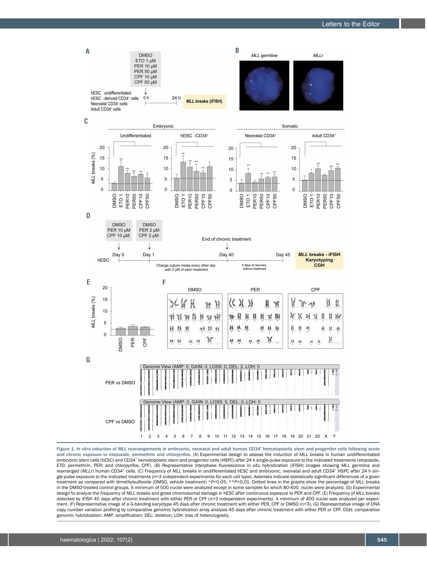

Figure 1. In vitro induction of MLL rearrangements in embryonic, neonatal and adult human CD34<sup>+</sup> hematopoietic stem and progenitor cells following acute and chronic exposure to etoposide, permethrin and chlorpyrifos. (A) Experimental design to assess the induction of *MLL* breaks in human undifferentiated embryonic stem cells (hESC) and CD34+ hematopoietic stem and progenitor cells (HSPC) after 24 h single-pulse exposure to the indicated treatments (etoposide, ETO; permethrin, PER; and chlorpyrifos, CPF). (B) Representative interphase fluorescence *in situ* hybridization (iFISH) images showing *MLL* germline and rearranged (MLLr) human CD34<sup>+</sup> cells. (C) Frequency of MLL breaks in undifferentiated hESC and embryonic, neonatal and adult CD34<sup>+</sup> HSPC after 24 h single-pulse exposure to the indicated treatments (n=3 independent experiments for each cell type). Asterisks indicate statistically significant differences of a given treatment as compared with dimethylsulfoxide (DMSO, vehicle treatment) \**P*<0.05, \*\**P*<0.01. Dotted lines in the graphs show the percentage of *MLL* breaks in the DMSO-treated control groups. A minimum of 500 nuclei were analyzed except in some samples for which 80-400 nuclei were analyzed. (D) Experimental design to analyze the frequency of *MLL breaks* and gross chromosomal damage in hESC after continuous exposure to PER and CPF. (E) Frequency of *MLL* breaks detected by iFISH 45 days after chronic treatment with either PER or CPF (n=3 independent experiments). A minimum of 400 nuclei was analyzed per experiment. (F) Representative image of a G-banding karyotype 45 days after chronic treatment with either PER, CPF or DMSO (n=3). (G) Representative image of DNA copy number variation profiling by comparative genomic hybridization array analysis 45 days after chronic treatment with either PER or CPF. CGH: comparative genomic hybridization; AMP: amplification; DEL: deletion; LOH: loss of heterozygosity.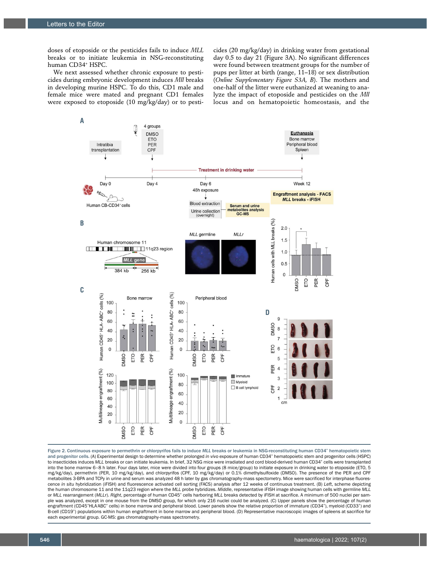doses of etoposide or the pesticides fails to induce *MLL* breaks or to initiate leukemia in NSG-reconstituting human CD34<sup>+</sup> HSPC.

We next assessed whether chronic exposure to pesticides during embryonic development induces *Mll* breaks in developing murine HSPC. To do this, CD1 male and female mice were mated and pregnant CD1 females were exposed to etoposide (10 mg/kg/day) or to pesti-

cides (20 mg/kg/day) in drinking water from gestational day 0.5 to day 21 (Figure 3A). No significant differences were found between treatment groups for the number of pups per litter at birth (range, 11–18) or sex distribution (*Online Supplementary Figure S3A, B*). The mothers and one-half of the litter were euthanized at weaning to analyze the impact of etoposide and pesticides on the *Mll* locus and on hematopoietic homeostasis, and the



Figure 2. Continuous exposure to permethrin or chlorpyrifos fails to induce MLL breaks or leukemia in NSG-reconstituting human CD34<sup>+</sup> hematopoietic stem and progenitor cells. (A) Experimental design to determine whether prolonged in vivo exposure of human CD34<sup>+</sup> hematopoietic stem and progenitor cells (HSPC) to insecticides induces MLL breaks or can initiate leukemia. In brief, 32 NSG mice were irradiated and cord blood-derived human CD34<sup>+</sup> cells were transplanted into the bone marrow 6–8 h later. Four days later, mice were divided into four groups (8 mice/group) to initiate exposure in drinking water to etoposide (ETO, 5 mg/kg/day), permethrin (PER, 10 mg/kg/day), and chlorpyrifos (CPF, 10 mg/kg/day) or 0.1% dimethylsulfoxide (DMSO). The presence of the PER and CPF metabolites 3-BPA and TCPy in urine and serum was analyzed 48 h later by gas chromatography-mass spectometry. Mice were sacrificed for interphase fluorescence *in situ* hybridization (iFISH) and fluorescence activated cell sorting (FACS) analysis after 12 weeks of continuous treatment. (B) *Left*, scheme depicting the human chromosome 11 and the 11q23 region where the *MLL* probe hybridizes. *Middle*, representative iFISH image showing human cells with germline *MLL*  or *MLL* rearrangement (*MLLr*). Right, percentage of human CD45<sup>+</sup> cells harboring *MLL* breaks detected by iFISH at sacrifice. A minimum of 500 nuclei per sample was analyzed, except in one mouse from the DMSO group, for which only 216 nuclei could be analyzed. (C) Upper panels show the percentage of human engraftment (CD45\*HLAABC\* cells) in bone marrow and peripheral blood. Lower panels show the relative proportion of immature (CD34\*), myeloid (CD33\*) and B-cell (CD19<sup>+</sup>) populations within human engraftment in bone marrow and peripheral blood. (D) Representative macroscopic images of spleens at sacrifice for each experimental group. GC-MS: gas chromatography-mass spectrometry.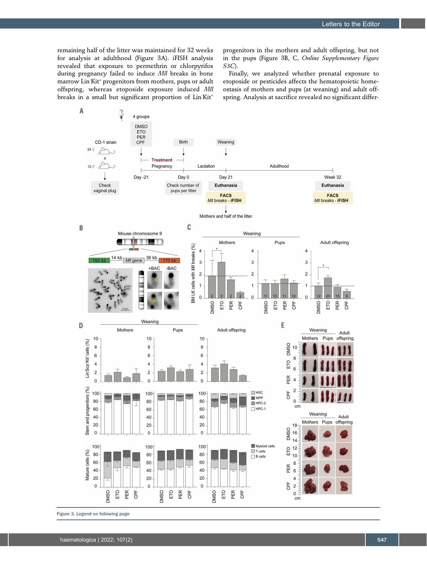remaining half of the litter was maintained for 32 weeks for analysis at adulthood (Figure 3A). iFISH analysis revealed that exposure to permethrin or chlorpyrifos during pregnancy failed to induce *Mll* breaks in bone marrow Lin Kit<sup>+</sup> progenitors from mothers, pups or adult offspring, whereas etoposide exposure induced *Mll* breaks in a small but significant proportion of LinKit<sup>+</sup>

progenitors in the mothers and adult offspring, but not in the pups (Figure 3B, C, *Online Supplementary Figure S3C*).

Finally, we analyzed whether prenatal exposure to etoposide or pesticides affects the hematopoietic homeostasis of mothers and pups (at weaning) and adult offspring. Analysis at sacrifice revealed no significant differ-



Figure 3. Legend on following page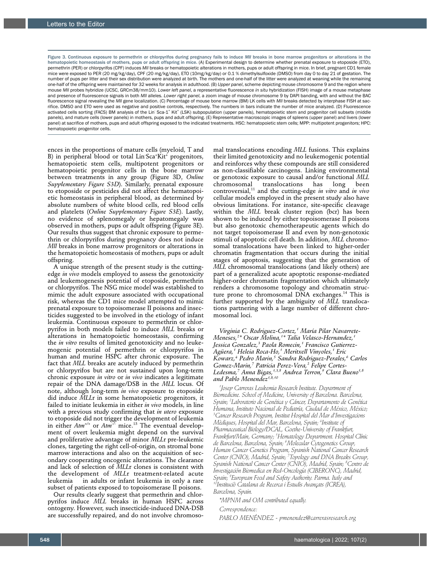Figure 3. Continuous exposure to permethrin or chlorpyrifos during pregnancy fails to induce *Mll* breaks in bone marrow progenitors or alterations in the hematopoietic homeostasis of mothers, pups or adult offspring in mice. (A) Experimental design to determine whether prenatal exposure to etoposide (ETO), permethrin (PER) or chlorpyrifos (CPF) induces *Mll* breaks or hematopoietic alterations in mothers, pups or adult offspring in mice. In brief, pregnant CD1 female mice were exposed to PER (20 mg/kg/day), CPF (20 mg/kg/day), ETO (10mg/kg/day) or 0.1 % dimethylsulfoxide (DMSO) from day 0 to day 21 of gestation. The number of pups per litter and their sex distribution were analyzed at birth. The mothers and one-half of the litter were analyzed at weaning while the remaining one-half of the offspring were maintained for 32 weeks for analysis in adulthood. (B) *Upper panel*, scheme depicting mouse chromosome 9 and the region where mouse *Mll* probes hybridize (UCSC, GRCm38/mm10). *Lower left panel*, a representative fluorescence *in situ* hybridization (FISH) image of a mouse metaphase and presence of fluorescence signals in both *Mll* alleles. *Lower right panel*, a zoom image of mouse chromosome 9 by DAPI banding, with and without the BAC fluorescence signal revealing the *Mll* gene localization. (C) Percentage of mouse bone marrow (BM) LK cells with *Mll* breaks detected by interphase FISH at sacrifice. DMSO and ETO were used as negative and positive controls, respectively. The numbers in bars indicate the number of mice analyzed. (D) Fluorescence activated cells sorting (FACS) BM analysis of the Lin Sca-1\* Kit\* (LSK) subpopulation (upper panels), hematopoietic stem and progenitor cell subsets (middle panels), and mature cells (lower panels) in mothers, pups and adult offspring. (E) Representative macroscopic images of spleens (upper panel) and livers (lower panel) at sacrifice of mothers, pups and adult offspring exposed to the indicated treatments. HSC: hematopoietic stem cells; MPP: multipotent progenitors; HPC: hematopoietic progenitor cells.

ences in the proportions of mature cells (myeloid, T and B) in peripheral blood or total Lin Sca<sup>+</sup>Kit<sup>+</sup> progenitors, hematopoietic stem cells, multipotent progenitors or hematopoietic progenitor cells in the bone marrow between treatments in any group (Figure 3D, *Online Supplementary Figure S3D*). Similarly, prenatal exposure to etoposide or pesticides did not affect the hematopoietic homeostasis in peripheral blood, as determined by absolute numbers of white blood cells, red blood cells and platelets (*Online Supplementary Figure S3E*). Lastly, no evidence of splenomegaly or hepatomegaly was observed in mothers, pups or adult offspring (Figure 3E). Our results thus suggest that chronic exposure to permethrin or chlorpyrifos during pregnancy does not induce *Mll* breaks in bone marrow progenitors or alterations in the hematopoietic homeostasis of mothers, pups or adult offspring.

A unique strength of the present study is the cuttingedge *in vivo* models employed to assess the genotoxicity and leukemogenesis potential of etoposide, permethrin or chlorpyrifos. The NSG mice model was established to mimic the adult exposure associated with occupational risk, whereas the CD1 mice model attempted to mimic prenatal exposure to topoisomerase II poisons and insecticides suggested to be involved in the etiology of infant leukemia. Continuous exposure to permethrin or chlorpyrifos in both models failed to induce *MLL* breaks or alterations in hematopoietic homeostasis, confirming the *in vitro* results of limited genotoxicity and no leukemogenic potential of permethrin or chlorpyrifos in human and murine HSPC after chronic exposure. The fact that *MLL* breaks are acutely induced by permethrin or chlorpyrifos but are not sustained upon long-term chronic exposure *in vitro* or *in vivo* indicates a legitimate repair of the DNA damage/DSB in the *MLL* locus. Of note, although long-term *in vivo* exposure to etoposide did induce *MLL*r in some hematopoietic progenitors, it failed to initiate leukemia in either *in vivo* models, in line with a previous study confirming that *in utero* exposure to etoposide did not trigger the development of leukemia in either *Atm+/+* or *Atm-/-* mice.13 The eventual development of overt leukemia might depend on the survival and proliferative advantage of minor *MLL*r pre-leukemic clones, targeting the right cell-of-origin, on stromal bone marrow interactions and also on the acquisition of secondary cooperating oncogenic alterations. The clearance and lack of selection of *MLL*r clones is consistent with the development of *MLL*r treatment-related acute leukemia in adults or infant leukemia in only a rare subset of patients exposed to topoisomerase II poisons.

Our results clearly suggest that permethrin and chlorpyrifos induce *MLL* breaks in human HSPC across ontogeny. However, such insecticide-induced DNA-DSB are successfully repaired, and do not involve chromoso-

mal translocations encoding *MLL* fusions. This explains their limited genotoxicity and no leukemogenic potential and reinforces why these compounds are still considered as non-classifiable carcinogens. Linking environmental or genotoxic exposure to causal and/or functional *MLL* chromosomal translocations has long been controversial,11 and the cutting-edge *in vitro* and *in vivo*  cellular models employed in the present study also have obvious limitations. For instance, site-specific cleavage within the *MLL* break cluster region (bcr) has been shown to be induced by either topoisomerase II poisons but also genotoxic chemotherapeutic agents which do not target topoisomerase II and even by non-genotoxic stimuli of apoptotic cell death. In addition, *MLL* chromosomal translocations have been linked to higher-order chromatin fragmentation that occurs during the initial stages of apoptosis, suggesting that the generation of *MLL* chromosomal translocations (and likely others) are part of a generalized acute apoptotic response-mediated higher-order chromatin fragmentation which ultimately renders a chromosome topology and chromatin structure prone to chromosomal DNA exchanges.<sup>14</sup> This is further supported by the ambiguity of *MLL* translocations partnering with a large number of different chromosomal loci.

*Virginia C. Rodriguez-Cortez,<sup>1</sup> María Pilar Navarrete-Meneses,2 \* Oscar Molina,<sup>1</sup> \* Talia Velasco-Hernandez,<sup>1</sup> Jessica Gonzalez,3 Paola Romecin,1 Francisco Gutierrez-Agüera,<sup>1</sup> Heleia Roca-Ho,1 Meritxell Vinyoles,<sup>1</sup> Eric Kowarz,4 Pedro Marin,<sup>5</sup> Sandra Rodriguez-Perales,<sup>6</sup> Carlos*  Gomez-Marin,<sup>7</sup> Patricia Perez-Vera,<sup>2</sup> Felipe Cortes-*Ledesma,<sup>7</sup> Anna Bigas,1,3,8 Andrea Terron,9 Clara Bueno1,8 and Pablo Menendez1,8,10*

*1 Josep Carreras Leukemia Research Institute. Department of Biomedicine. School of Medicine, University of Barcelona. Barcelona, Spain; <sup>2</sup> Laboratorio de Genética y Cáncer, Departamento de Genética Humana, Instituto Nacional de Pediatría, Ciudad de México, México; 3 Cancer Research Program, Institut Hospital del Mar d'Investigacions Mèdiques, Hospital del Mar, Barcelona, Spain; <sup>4</sup> Institute of Pharmaceutical Biology/DCAL, Goethe-University of Frankfurt, Frankfurt/Main, Germany; <sup>5</sup> Hematology Department. Hospital Clínic de Barcelona, Barcelona, Spain; <sup>6</sup> Molecular Cytogenetics Group, Human Cancer Genetics Program, Spanish National Cancer Research Center (CNIO), Madrid, Spain; <sup>7</sup> Topology and DNA Breaks Group, Spanish National Cancer Center (CNIO), Madrid, Spain; <sup>8</sup> Centro de Investigación Biomedica en Red-Oncología (CIBERONC), Madrid, Spain; <sup>9</sup> European Food and Safety Authority. Parma. Italy and 10Instituciò Catalana de Recerca i Estudis Avançats (ICREA), Barcelona, Spain.* 

*\*MPNM and OM contributed equally.* 

*Correspondence:* 

*PABLO MENÉNDEZ - pmenendez@carrerasresearch.org*